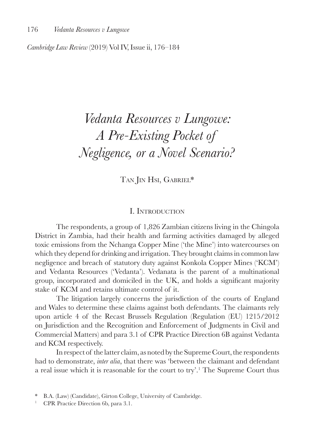*Cambridge Law Review* (2019) Vol IV, Issue ii, 176–184

# *Vedanta Resources v Lungowe: A Pre-Existing Pocket of Negligence, or a Novel Scenario?*

TAN IN HSI, GABRIEL\*

#### I. Introduction

The respondents, a group of 1,826 Zambian citizens living in the Chingola District in Zambia, had their health and farming activities damaged by alleged toxic emissions from the Nchanga Copper Mine ('the Mine') into watercourses on which they depend for drinking and irrigation. They brought claims in common law negligence and breach of statutory duty against Konkola Copper Mines ('KCM') and Vedanta Resources ('Vedanta'). Vedanata is the parent of a multinational group, incorporated and domiciled in the UK, and holds a significant majority stake of KCM and retains ultimate control of it.

The litigation largely concerns the jurisdiction of the courts of England and Wales to determine these claims against both defendants. The claimants rely upon article 4 of the Recast Brussels Regulation (Regulation (EU) 1215/2012 on Jurisdiction and the Recognition and Enforcement of Judgments in Civil and Commercial Matters) and para 3.1 of CPR Practice Direction 6B against Vedanta and KCM respectively.

In respect of the latter claim, as noted by the Supreme Court, the respondents had to demonstrate, *inter alia*, that there was 'between the claimant and defendant a real issue which it is reasonable for the court to try'.<sup>1</sup> The Supreme Court thus

<sup>\*</sup> B.A. (Law) (Candidate), Girton College, University of Cambridge.

<sup>&</sup>lt;sup>1</sup> CPR Practice Direction 6b, para 3.1.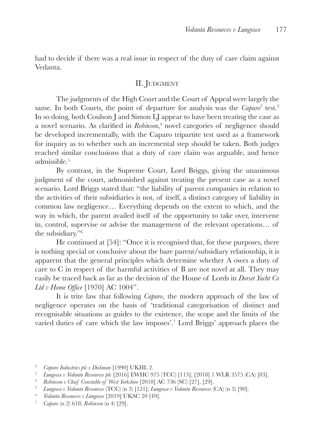had to decide if there was a real issue in respect of the duty of care claim against Vedanta.

## II. JUDGMENT

The judgments of the High Court and the Court of Appeal were largely the same. In both Courts, the point of departure for analysis was the *Caparo*<sup>2</sup> test.<sup>3</sup> In so doing, both Coulson J and Simon LJ appear to have been treating the case as a novel scenario. As clarified in *Robinson*, 4 novel categories of negligence should be developed incrementally, with the Caparo tripartite test used as a framework for inquiry as to whether such an incremental step should be taken. Both judges reached similar conclusions that a duty of care claim was arguable, and hence admissible.<sup>5</sup>

By contrast, in the Supreme Court, Lord Briggs, giving the unanimous judgment of the court, admonished against treating the present case as a novel scenario. Lord Briggs stated that: "the liability of parent companies in relation to the activities of their subsidiaries is not, of itself, a distinct category of liability in common law negligence… Everything depends on the extent to which, and the way in which, the parent availed itself of the opportunity to take over, intervene in, control, supervise or advise the management of the relevant operations… of the subsidiary."6

He continued at [54]: "Once it is recognised that, for these purposes, there is nothing special or conclusive about the bare parent/subsidiary relationship, it is apparent that the general principles which determine whether A owes a duty of care to C in respect of the harmful activities of B are not novel at all. They may easily be traced back as far as the decision of the House of Lords in *Dorset Yacht Co Ltd v Home Office* [1970] AC 1004".

It is trite law that following *Caparo*, the modern approach of the law of negligence operates on the basis of 'traditional categorisation of distinct and recognisable situations as guides to the existence, the scope and the limits of the varied duties of care which the law imposes'.<sup>7</sup> Lord Briggs' approach places the

<sup>2</sup> *Caparo Industries plc v Dickman* [1990] UKHL 2.

<sup>3</sup> *Lungowe v Vedanta Resources plc* [2016] EWHC 975 (TCC) [115]; [2018] 1 WLR 3575 (CA) [83].

<sup>4</sup> *Robinson v Chief Constable of West Yorkshire* [2018] AC 736 (SC) [27], [29].

<sup>5</sup> *Lungowe v Vedanta Resources* (TCC) (n 3) [121]; *Lungowe v Vedanta Resources* (CA) (n 3) [90].

<sup>&</sup>lt;sup>6</sup> *Vedanta Resources v Lungowe* [2019] UKSC 20 [49].<br><sup>7</sup> *Cabara* (n 2) 618: *Robinson* (n 4) [29]

<sup>7</sup> *Caparo* (n 2) 618; *Robinson* (n 4) [29].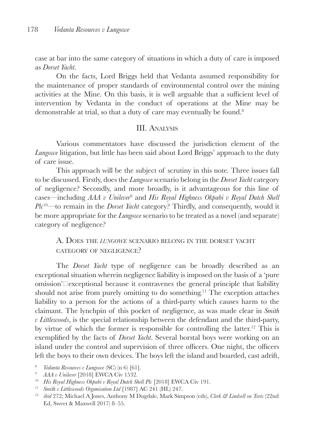case at bar into the same category of situations in which a duty of care is imposed as *Dorset Yacht*.

On the facts, Lord Briggs held that Vedanta assumed responsibility for the maintenance of proper standards of environmental control over the mining activities at the Mine. On this basis, it is well arguable that a sufficient level of intervention by Vedanta in the conduct of operations at the Mine may be demonstrable at trial, so that a duty of care may eventually be found.<sup>8</sup>

## III. Analysis

Various commentators have discussed the jurisdiction element of the *Lungowe* litigation, but little has been said about Lord Briggs' approach to the duty of care issue.

This approach will be the subject of scrutiny in this note. Three issues fall to be discussed. Firstly, does the *Lungowe* scenario belong in the *Dorset Yacht* category of negligence? Secondly, and more broadly, is it advantageous for this line of cases—including *AAA v Unilever*<sup>9</sup> and *His Royal Highness Okpabi v Royal Dutch Shell Plc*<sup>10</sup>—to remain in the *Dorset Yacht* category? Thirdly, and consequently, would it be more appropriate for the *Lungowe* scenario to be treated as a novel (and separate) category of negligence?

A. Does the *lungowe* scenario belong in the dorset yacht category of negligence?

The *Dorset Yacht* type of negligence can be broadly described as an exceptional situation wherein negligence liability is imposed on the basis of a 'pure omission'⸻exceptional because it contravenes the general principle that liability should not arise from purely omitting to do something.<sup>11</sup> The exception attaches liability to a person for the actions of a third-party which causes harm to the claimant. The lynchpin of this pocket of negligence, as was made clear in *Smith v Littlewoods*, is the special relationship between the defendant and the third-party, by virtue of which the former is responsible for controlling the latter.12 This is exemplified by the facts of *Dorset Yacht*. Several borstal boys were working on an island under the control and supervision of three officers. One night, the officers left the boys to their own devices. The boys left the island and boarded, cast adrift,

- <sup>8</sup> *Vedanta Resources v Lungowe* (SC) (n 6) [61].
- <sup>9</sup> *AAA v Unilever* [2018] EWCA Civ 1532.
- <sup>10</sup> *His Royal Highness Okpabi v Royal Dutch Shell Plc* [2018] EWCA Civ 191.
- <sup>11</sup> *Smith v Littlewoods Organisation Ltd* [1987] AC 241 (HL) 247.
- <sup>12</sup> *ibid* 272; Michael A Jones, Anthony M Dugdale, Mark Simpson (eds), *Clerk & Lindsell on Torts* (22nd Ed, Sweet & Maxwell 2017) 8–55.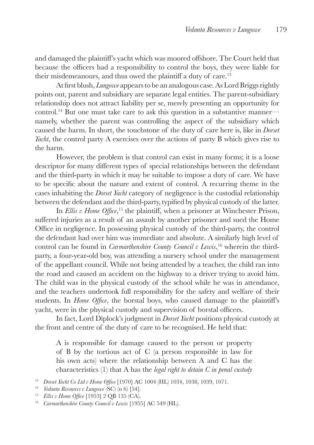and damaged the plaintiff's yacht which was moored offshore. The Court held that because the officers had a responsibility to control the boys, they were liable for their misdemeanours, and thus owed the plaintiff a duty of care.<sup>13</sup>

At first blush, *Lungowe* appears to be an analogous case. As Lord Briggs rightly points out, parent and subsidiary are separate legal entities. The parent-subsidiary relationship does not attract liability per se, merely presenting an opportunity for control.14 But one must take care to ask this question in a substantive manner namely, whether the parent was controlling the aspect of the subsidiary which caused the harm. In short, the touchstone of the duty of care here is, like in *Dorset Yacht*, the control party A exercises over the actions of party B which gives rise to the harm.

However, the problem is that control can exist in many forms; it is a loose descriptor for many different types of special relationships between the defendant and the third-party in which it may be suitable to impose a duty of care. We have to be specific about the nature and extent of control. A recurring theme in the cases inhabiting the *Dorset Yacht* category of negligence is the custodial relationship between the defendant and the third-party, typified by physical custody of the latter.

In *Ellis v Home Office*,<sup>15</sup> the plaintiff, when a prisoner at Winchester Prison, suffered injuries as a result of an assault by another prisoner and sued the Home Office in negligence. In possessing physical custody of the third-party, the control the defendant had over him was immediate and absolute. A similarly high level of control can be found in *Carmarthenshire County Council v Lewis*, 16 wherein the thirdparty, a four-year-old boy, was attending a nursery school under the management of the appellant council. While not being attended by a teacher, the child ran into the road and caused an accident on the highway to a driver trying to avoid him. The child was in the physical custody of the school while he was in attendance, and the teachers undertook full responsibility for the safety and welfare of their students. In *Home Office*, the borstal boys, who caused damage to the plaintiff's yacht, were in the physical custody and supervision of borstal officers.

In fact, Lord Diplock's judgment in *Dorset Yacht* positions physical custody at the front and centre of the duty of care to be recognised. He held that:

A is responsible for damage caused to the person or property of B by the tortious act of C (a person responsible in law for his own acts) where the relationship between A and C has the characteristics (1) that A has the *legal right to detain C in penal custody*

<sup>13</sup> *Dorset Yacht Co Ltd v Home Office* [1970] AC 1004 (HL) 1034, 1038, 1039, 1071.

<sup>14</sup> *Vedanta Resources v Lungowe* (SC) (n 6) [54].

<sup>15</sup> *Ellis v Home Office* [1953] 2 QB 135 (CA).

<sup>16</sup> *Carmarthenshire County Council v Lewis* [1955] AC 549 (HL).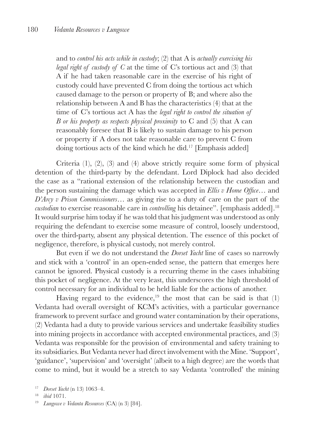and to *control his acts while in custody*; (2) that A is *actually exercising his legal right of custody of C* at the time of C's tortious act and (3) that A if he had taken reasonable care in the exercise of his right of custody could have prevented C from doing the tortious act which caused damage to the person or property of B; and where also the relationship between A and B has the characteristics (4) that at the time of C's tortious act A has the *legal right to control the situation of B or his property as respects physical proximity* to C and (5) that A can reasonably foresee that B is likely to sustain damage to his person or property if A does not take reasonable care to prevent C from doing tortious acts of the kind which he did.17 [Emphasis added]

Criteria (1), (2), (3) and (4) above strictly require some form of physical detention of the third-party by the defendant. Lord Diplock had also decided the case as a "rational extension of the relationship between the custodian and the person sustaining the damage which was accepted in *Ellis v Home Office*… and *D'Arcy v Prison Commissioners*… as giving rise to a duty of care on the part of the *custodian* to exercise reasonable care in *controlling* his detainee". [emphasis added].<sup>18</sup> It would surprise him today if he was told that his judgment was understood as only requiring the defendant to exercise some measure of control, loosely understood, over the third-party, absent any physical detention. The essence of this pocket of negligence, therefore, is physical custody, not merely control.

But even if we do not understand the *Dorset Yacht* line of cases so narrowly and stick with a 'control' in an open-ended sense, the pattern that emerges here cannot be ignored. Physical custody is a recurring theme in the cases inhabiting this pocket of negligence. At the very least, this underscores the high threshold of control necessary for an individual to be held liable for the actions of another.

Having regard to the evidence, $19$  the most that can be said is that (1) Vedanta had overall oversight of KCM's activities, with a particular governance framework to prevent surface and ground water contamination by their operations, (2) Vedanta had a duty to provide various services and undertake feasibility studies into mining projects in accordance with accepted environmental practices, and (3) Vedanta was responsible for the provision of environmental and safety training to its subsidiaries. But Vedanta never had direct involvement with the Mine. 'Support', 'guidance', 'supervision' and 'oversight' (albeit to a high degree) are the words that come to mind, but it would be a stretch to say Vedanta 'controlled' the mining

<sup>17</sup> *Dorset Yacht* (n 13) 1063–4.

<sup>18</sup> *ibid* 1071.

<sup>19</sup> *Lungowe v Vedanta Resources* (CA) (n 3) [84].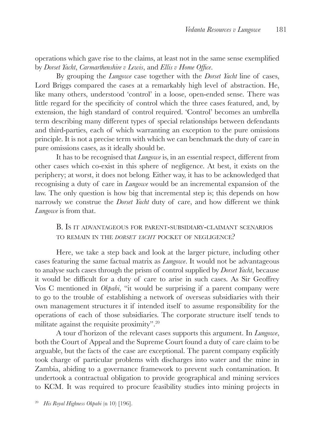operations which gave rise to the claims, at least not in the same sense exemplified by *Dorset Yacht*, *Carmarthenshire v Lewis*, and *Ellis v Home Office*.

By grouping the *Lungowe* case together with the *Dorset Yacht* line of cases, Lord Briggs compared the cases at a remarkably high level of abstraction. He, like many others, understood 'control' in a loose, open-ended sense. There was little regard for the specificity of control which the three cases featured, and, by extension, the high standard of control required. 'Control' becomes an umbrella term describing many different types of special relationships between defendants and third-parties, each of which warranting an exception to the pure omissions principle. It is not a precise term with which we can benchmark the duty of care in pure omissions cases, as it ideally should be.

It has to be recognised that *Lungowe* is, in an essential respect, different from other cases which co-exist in this sphere of negligence. At best, it exists on the periphery; at worst, it does not belong. Either way, it has to be acknowledged that recognising a duty of care in *Lungowe* would be an incremental expansion of the law. The only question is how big that incremental step is; this depends on how narrowly we construe the *Dorset Yacht* duty of care, and how different we think *Lungowe* is from that.

## B. Is it advantageous for parent-subsidiary-claimant scenarios to remain in the *dorset yacht* pocket of negligence?

Here, we take a step back and look at the larger picture, including other cases featuring the same factual matrix as *Lungowe*. It would not be advantageous to analyse such cases through the prism of control supplied by *Dorset Yacht*, because it would be difficult for a duty of care to arise in such cases. As Sir Geoffrey Vos C mentioned in *Okpabi*, "it would be surprising if a parent company were to go to the trouble of establishing a network of overseas subsidiaries with their own management structures it if intended itself to assume responsibility for the operations of each of those subsidiaries. The corporate structure itself tends to militate against the requisite proximity".20

A tour d'horizon of the relevant cases supports this argument. In *Lungowe*, both the Court of Appeal and the Supreme Court found a duty of care claim to be arguable, but the facts of the case are exceptional. The parent company explicitly took charge of particular problems with discharges into water and the mine in Zambia, abiding to a governance framework to prevent such contamination. It undertook a contractual obligation to provide geographical and mining services to KCM. It was required to procure feasibility studies into mining projects in

<sup>20</sup> *His Royal Highness Okpabi* (n 10) [196].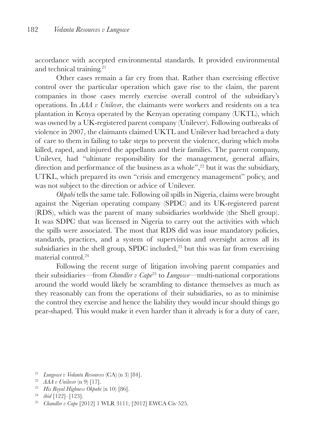accordance with accepted environmental standards. It provided environmental and technical training.21

Other cases remain a far cry from that. Rather than exercising effective control over the particular operation which gave rise to the claim, the parent companies in those cases merely exercise overall control of the subsidiary's operations. In *AAA v Unilever*, the claimants were workers and residents on a tea plantation in Kenya operated by the Kenyan operating company (UKTL), which was owned by a UK-registered parent company (Unilever). Following outbreaks of violence in 2007, the claimants claimed UKTL and Unilever had breached a duty of care to them in failing to take steps to prevent the violence, during which mobs killed, raped, and injured the appellants and their families. The parent company, Unilever, had "ultimate responsibility for the management, general affairs, direction and performance of the business as a whole", $^{22}$  but it was the subsidiary, UTKL, which prepared its own "crisis and emergency management" policy, and was not subject to the direction or advice of Unilever.

*Okpabi* tells the same tale. Following oil spills in Nigeria, claims were brought against the Nigerian operating company (SPDC) and its UK-registered parent (RDS), which was the parent of many subsidiaries worldwide (the Shell group). It was SDPC that was licensed in Nigeria to carry out the activities with which the spills were associated. The most that RDS did was issue mandatory policies, standards, practices, and a system of supervision and oversight across all its subsidiaries in the shell group, SPDC included,<sup>23</sup> but this was far from exercising material control<sup>24</sup>

Following the recent surge of litigation involving parent companies and their subsidiaries—from *Chandler v Cape*25 to *Lungowe*—multi-national corporations around the world would likely be scrambling to distance themselves as much as they reasonably can from the operations of their subsidiaries, so as to minimise the control they exercise and hence the liability they would incur should things go pear-shaped. This would make it even harder than it already is for a duty of care,

- <sup>21</sup> *Lungowe v Vedanta Resources* (CA) (n 3) [84].
- <sup>22</sup> *AAA v Unilever* (n 9) [17].
- <sup>23</sup> *His Royal Highness Okpabi* (n 10) [86].
- <sup>24</sup> *ibid* [122]–[123].
- <sup>25</sup> *Chandler v Cape* [2012] 1 WLR 3111; [2012] EWCA Civ 525.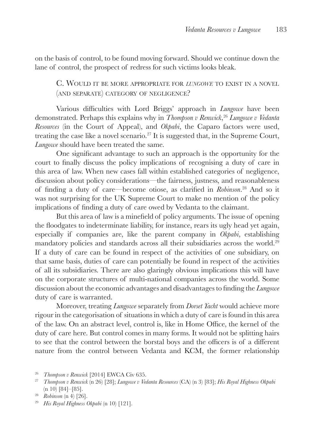on the basis of control, to be found moving forward. Should we continue down the lane of control, the prospect of redress for such victims looks bleak.

C. Would it be more appropriate for *lungowe* to exist in <sup>a</sup> novel (and separate) category of negligence?

Various difficulties with Lord Briggs' approach in *Lungowe* have been demonstrated. Perhaps this explains why in *Thompson v Renwick*, <sup>26</sup> *Lungowe v Vedanta Resources* (in the Court of Appeal), and *Okpabi*, the Caparo factors were used, treating the case like a novel scenario.27 It is suggested that, in the Supreme Court, *Lungowe* should have been treated the same.

One significant advantage to such an approach is the opportunity for the court to finally discuss the policy implications of recognising a duty of care in this area of law. When new cases fall within established categories of negligence, discussion about policy considerations—the fairness, justness, and reasonableness of finding a duty of care—become otiose, as clarified in *Robinson*. 28 And so it was not surprising for the UK Supreme Court to make no mention of the policy implications of finding a duty of care owed by Vedanta to the claimant.

But this area of law is a minefield of policy arguments. The issue of opening the floodgates to indeterminate liability, for instance, rears its ugly head yet again, especially if companies are, like the parent company in *Okpabi*, establishing mandatory policies and standards across all their subsidiaries across the world.29 If a duty of care can be found in respect of the activities of one subsidiary, on that same basis, duties of care can potentially be found in respect of the activities of all its subsidiaries. There are also glaringly obvious implications this will have on the corporate structures of multi-national companies across the world. Some discussion about the economic advantages and disadvantages to finding the *Lungowe* duty of care is warranted.

Moreover, treating *Lungowe* separately from *Dorset Yacht* would achieve more rigour in the categorisation of situations in which a duty of care is found in this area of the law. On an abstract level, control is, like in Home Office, the kernel of the duty of care here. But control comes in many forms. It would not be splitting hairs to see that the control between the borstal boys and the officers is of a different nature from the control between Vedanta and KCM, the former relationship

<sup>29</sup> *His Royal Highness Okpabi* (n 10) [121].

<sup>26</sup> *Thompson v Renwick* [2014] EWCA Civ 635.

<sup>27</sup> *Thompson v Renwick* (n 26) [28]; *Lungowe v Vedanta Resources* (CA) (n 3) [83]; *His Royal Highness Okpabi* (n 10) [84]–[85].

<sup>28</sup> *Robinson* (n 4) [26].